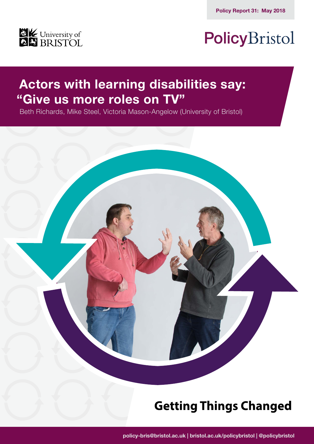

# PolicyBristol

### **Actors with learning disabilities say: "Give us more roles on TV"**

Beth Richards, Mike Steel, Victoria Mason-Angelow (University of Bristol)



## **Getting Things Changed**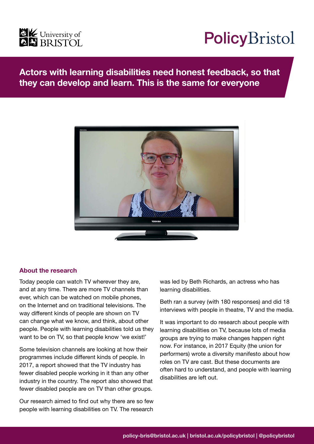

# PolicyBristol

### **Actors with learning disabilities need honest feedback, so that they can develop and learn. This is the same for everyone**



#### **About the research**

Today people can watch TV wherever they are, and at any time. There are more TV channels than ever, which can be watched on mobile phones, on the Internet and on traditional televisions. The way different kinds of people are shown on TV can change what we know, and think, about other people. People with learning disabilities told us they want to be on TV, so that people know 'we exist!'

Some television channels are looking at how their programmes include different kinds of people. In 2017, a report showed that the TV industry has fewer disabled people working in it than any other industry in the country. The report also showed that fewer disabled people are on TV than other groups.

Our research aimed to find out why there are so few people with learning disabilities on TV. The research

was led by Beth Richards, an actress who has learning disabilities.

Beth ran a survey (with 180 responses) and did 18 interviews with people in theatre, TV and the media.

It was important to do research about people with learning disabilities on TV, because lots of media groups are trying to make changes happen right now. For instance, in 2017 Equity (the union for performers) wrote a diversity manifesto about how roles on TV are cast. But these documents are often hard to understand, and people with learning disabilities are left out.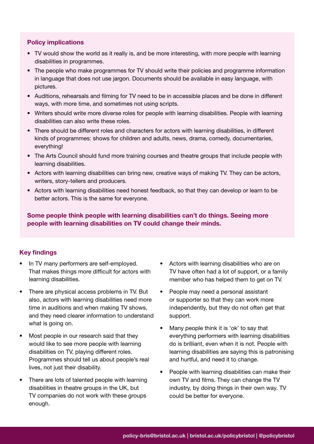#### **Policy implications**

- TV would show the world as it really is, and be more interesting, with more people with learning disabilities in programmes.
- The people who make programmes for TV should write their policies and programme information in language that does not use jargon. Documents should be available in easy language, with pictures.
- Auditions, rehearsals and filming for TV need to be in accessible places and be done in different ways, with more time, and sometimes not using scripts.
- Writers should write more diverse roles for people with learning disabilities. People with learning disabilities can also write these roles.
- There should be different roles and characters for actors with learning disabilities, in different kinds of programmes: shows for children and adults, news, drama, comedy, documentaries, everything!
- The Arts Council should fund more training courses and theatre groups that include people with learning disabilities.
- Actors with learning disabilities can bring new, creative ways of making TV. They can be actors, writers, story-tellers and producers.
- Actors with learning disabilities need honest feedback, so that they can develop or learn to be better actors. This is the same for everyone.

**Some people think people with learning disabilities can't do things. Seeing more people with learning disabilities on TV could change their minds.**

#### **Key findings**

- In TV many performers are self-employed. That makes things more difficult for actors with learning disabilities.
- There are physical access problems in TV. But also, actors with learning disabilities need more time in auditions and when making TV shows, and they need clearer information to understand what is going on.
- Most people in our research said that they would like to see more people with learning disabilities on TV, playing different roles. Programmes should tell us about people's real lives, not just their disability.
- There are lots of talented people with learning disabilities in theatre groups in the UK, but TV companies do not work with these groups enough.
- Actors with learning disabilities who are on TV have often had a lot of support, or a family member who has helped them to get on TV.
- People may need a personal assistant or supporter so that they can work more independently, but they do not often get that support.
- Many people think it is 'ok' to say that everything performers with learning disabilities do is brilliant, even when it is not. People with learning disabilities are saying this is patronising and hurtful, and need it to change.
- People with learning disabilities can make their own TV and films. They can change the TV industry, by doing things in their own way. TV could be better for everyone.